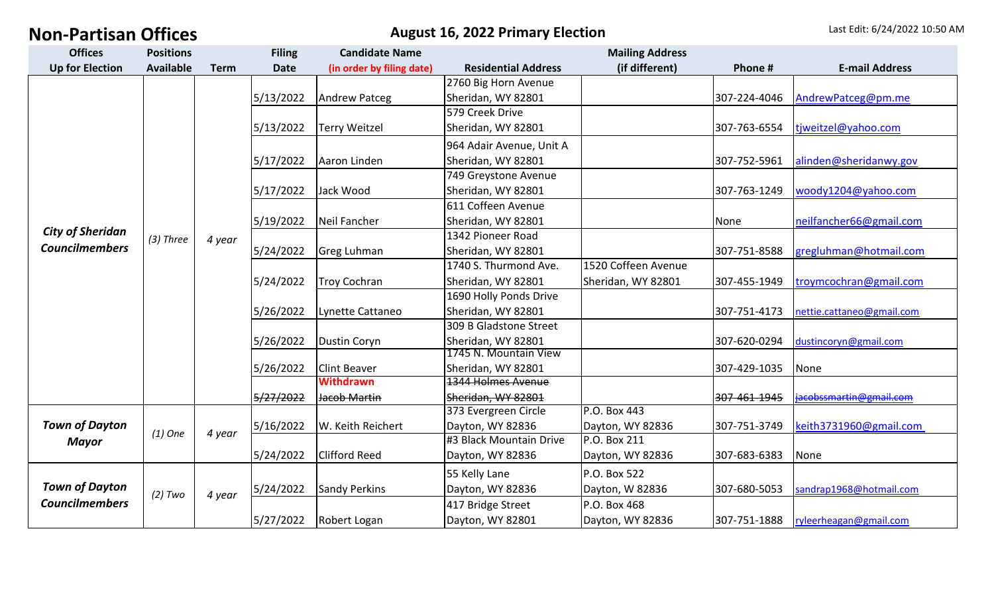**August 16, 2022 Primary Election** Last Edit: 6/24/2022 10:50 AM

| <b>Offices</b>                                   | <b>Positions</b> |             | <b>Filing</b> | <b>Candidate Name</b>     |                            |                     |              |                           |
|--------------------------------------------------|------------------|-------------|---------------|---------------------------|----------------------------|---------------------|--------------|---------------------------|
| <b>Up for Election</b>                           | <b>Available</b> | <b>Term</b> | <b>Date</b>   | (in order by filing date) | <b>Residential Address</b> | (if different)      | Phone#       | <b>E-mail Address</b>     |
| <b>City of Sheridan</b><br><b>Councilmembers</b> | $(3)$ Three      |             |               |                           | 2760 Big Horn Avenue       |                     |              |                           |
|                                                  |                  |             | 5/13/2022     | <b>Andrew Patceg</b>      | Sheridan, WY 82801         |                     | 307-224-4046 | AndrewPatceg@pm.me        |
|                                                  |                  |             |               |                           | 579 Creek Drive            |                     |              |                           |
|                                                  |                  | 4 year      | 5/13/2022     | <b>Terry Weitzel</b>      | Sheridan, WY 82801         |                     | 307-763-6554 | tiweitzel@yahoo.com       |
|                                                  |                  |             |               |                           | 964 Adair Avenue, Unit A   |                     |              |                           |
|                                                  |                  |             | 5/17/2022     | Aaron Linden              | Sheridan, WY 82801         |                     | 307-752-5961 | alinden@sheridanwy.gov    |
|                                                  |                  |             |               |                           | 749 Greystone Avenue       |                     |              |                           |
|                                                  |                  |             | 5/17/2022     | Jack Wood                 | Sheridan, WY 82801         |                     | 307-763-1249 | woody1204@yahoo.com       |
|                                                  |                  |             |               |                           | 611 Coffeen Avenue         |                     |              |                           |
|                                                  |                  |             | 5/19/2022     | Neil Fancher              | Sheridan, WY 82801         |                     | None         | neilfancher66@gmail.com   |
|                                                  |                  |             |               |                           | 1342 Pioneer Road          |                     |              |                           |
|                                                  |                  |             | 5/24/2022     | <b>Greg Luhman</b>        | Sheridan, WY 82801         |                     | 307-751-8588 | gregluhman@hotmail.com    |
|                                                  |                  |             |               |                           | 1740 S. Thurmond Ave.      | 1520 Coffeen Avenue |              |                           |
|                                                  |                  |             | 5/24/2022     | <b>Troy Cochran</b>       | Sheridan, WY 82801         | Sheridan, WY 82801  | 307-455-1949 | troymcochran@gmail.com    |
|                                                  |                  |             |               |                           | 1690 Holly Ponds Drive     |                     |              |                           |
|                                                  |                  |             | 5/26/2022     | Lynette Cattaneo          | Sheridan, WY 82801         |                     | 307-751-4173 | nettie.cattaneo@gmail.com |
|                                                  |                  |             |               |                           | 309 B Gladstone Street     |                     |              |                           |
|                                                  |                  |             | 5/26/2022     | <b>Dustin Coryn</b>       | Sheridan, WY 82801         |                     | 307-620-0294 | dustincoryn@gmail.com     |
|                                                  |                  |             |               |                           | 1745 N. Mountain View      |                     |              |                           |
|                                                  |                  |             | 5/26/2022     | <b>Clint Beaver</b>       | Sheridan, WY 82801         |                     | 307-429-1035 | None                      |
|                                                  |                  |             |               | <b>Withdrawn</b>          | <b>1344 Holmes Avenue</b>  |                     |              |                           |
|                                                  |                  |             | 5/27/2022     | Jacob Martin              | Sheridan, WY 82801         |                     | 307-461-1945 | iacobssmartin@gmail.com   |
| <b>Town of Dayton</b><br><b>Mayor</b>            | $(1)$ One        | 4 year      |               |                           | 373 Evergreen Circle       | P.O. Box 443        |              |                           |
|                                                  |                  |             | 5/16/2022     | W. Keith Reichert         | Dayton, WY 82836           | Dayton, WY 82836    | 307-751-3749 | keith3731960@gmail.com    |
|                                                  |                  |             |               |                           | #3 Black Mountain Drive    | P.O. Box 211        |              |                           |
|                                                  |                  |             | 5/24/2022     | <b>Clifford Reed</b>      | Dayton, WY 82836           | Dayton, WY 82836    | 307-683-6383 | None                      |
| <b>Town of Dayton</b><br><b>Councilmembers</b>   | $(2)$ Two        | 4 year      |               |                           | 55 Kelly Lane              | P.O. Box 522        |              |                           |
|                                                  |                  |             | 5/24/2022     | <b>Sandy Perkins</b>      | Dayton, WY 82836           | Dayton, W 82836     | 307-680-5053 | sandrap1968@hotmail.com   |
|                                                  |                  |             |               |                           | 417 Bridge Street          | P.O. Box 468        |              |                           |
|                                                  |                  |             | 5/27/2022     | Robert Logan              | Dayton, WY 82801           | Dayton, WY 82836    | 307-751-1888 | ryleerheagan@gmail.com    |